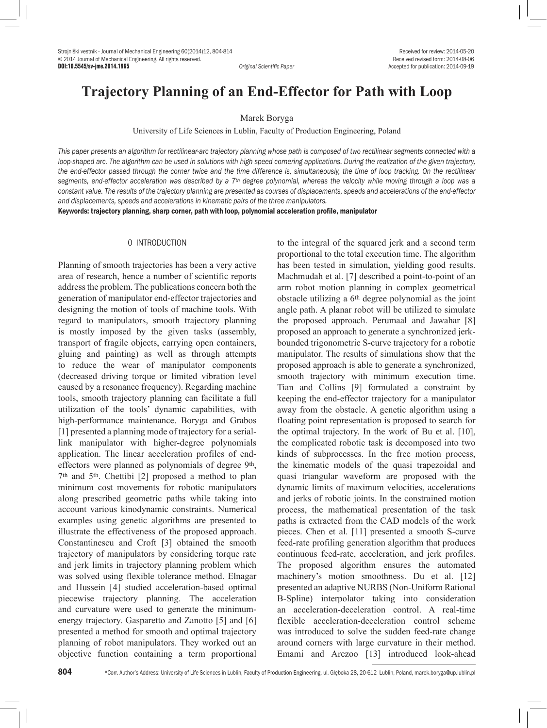# **Trajectory Planning of an End-Effector for Path with Loop**

## Marek Boryga

University of Life Sciences in Lublin, Faculty of Production Engineering, Poland

This paper presents an algorithm for rectilinear-arc trajectory planning whose path is composed of two rectilinear segments connected with a loop-shaped arc. The algorithm can be used in solutions with high speed cornering applications. During the realization of the given trajectory, *the end-effector passed through the corner twice and the time difference is, simultaneously, the time of loop tracking. On the rectilinear segments, end-effector acceleration was described by a 7th degree polynomial, whereas the velocity while moving through a loop was a constant value. The results of the trajectory planning are presented as courses of displacements, speeds and accelerations of the end-effector and displacements, speeds and accelerations in kinematic pairs of the three manipulators.*

Keywords: trajectory planning, sharp corner, path with loop, polynomial acceleration profile, manipulator

# 0 INTRODUCTION

Planning of smooth trajectories has been a very active area of research, hence a number of scientific reports address the problem. The publications concern both the generation of manipulator end-effector trajectories and designing the motion of tools of machine tools. With regard to manipulators, smooth trajectory planning is mostly imposed by the given tasks (assembly, transport of fragile objects, carrying open containers, gluing and painting) as well as through attempts to reduce the wear of manipulator components (decreased driving torque or limited vibration level caused by a resonance frequency). Regarding machine tools, smooth trajectory planning can facilitate a full utilization of the tools' dynamic capabilities, with high-performance maintenance. Boryga and Grabos [1] presented a planning mode of trajectory for a seriallink manipulator with higher-degree polynomials application. The linear acceleration profiles of endeffectors were planned as polynomials of degree 9<sup>th</sup>, 7th and 5th. Chettibi [2] proposed a method to plan minimum cost movements for robotic manipulators along prescribed geometric paths while taking into account various kinodynamic constraints. Numerical examples using genetic algorithms are presented to illustrate the effectiveness of the proposed approach. Constantinescu and Croft [3] obtained the smooth trajectory of manipulators by considering torque rate and jerk limits in trajectory planning problem which was solved using flexible tolerance method. Elnagar and Hussein [4] studied acceleration-based optimal piecewise trajectory planning. The acceleration and curvature were used to generate the minimumenergy trajectory. Gasparetto and Zanotto [5] and [6] presented a method for smooth and optimal trajectory planning of robot manipulators. They worked out an objective function containing a term proportional to the integral of the squared jerk and a second term proportional to the total execution time. The algorithm has been tested in simulation, yielding good results. Machmudah et al. [7] described a point-to-point of an arm robot motion planning in complex geometrical obstacle utilizing a 6th degree polynomial as the joint angle path. A planar robot will be utilized to simulate the proposed approach. Perumaal and Jawahar [8] proposed an approach to generate a synchronized jerkbounded trigonometric S-curve trajectory for a robotic manipulator. The results of simulations show that the proposed approach is able to generate a synchronized, smooth trajectory with minimum execution time. Tian and Collins [9] formulated a constraint by keeping the end-effector trajectory for a manipulator away from the obstacle. A genetic algorithm using a floating point representation is proposed to search for the optimal trajectory. In the work of Bu et al. [10], the complicated robotic task is decomposed into two kinds of subprocesses. In the free motion process, the kinematic models of the quasi trapezoidal and quasi triangular waveform are proposed with the dynamic limits of maximum velocities, accelerations and jerks of robotic joints. In the constrained motion process, the mathematical presentation of the task paths is extracted from the CAD models of the work pieces. Chen et al. [11] presented a smooth S-curve feed-rate profiling generation algorithm that produces continuous feed-rate, acceleration, and jerk profiles. The proposed algorithm ensures the automated machinery's motion smoothness. Du et al. [12] presented an adaptive NURBS (Non-Uniform Rational B-Spline) interpolator taking into consideration an acceleration-deceleration control. A real-time flexible acceleration-deceleration control scheme was introduced to solve the sudden feed-rate change around corners with large curvature in their method. Emami and Arezoo [13] introduced look-ahead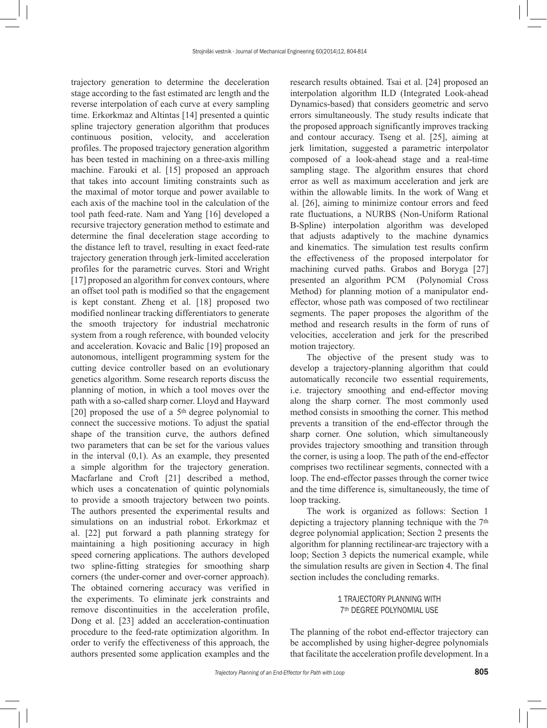trajectory generation to determine the deceleration stage according to the fast estimated arc length and the reverse interpolation of each curve at every sampling time. Erkorkmaz and Altintas [14] presented a quintic spline trajectory generation algorithm that produces continuous position, velocity, and acceleration profiles. The proposed trajectory generation algorithm has been tested in machining on a three-axis milling machine. Farouki et al. [15] proposed an approach that takes into account limiting constraints such as the maximal of motor torque and power available to each axis of the machine tool in the calculation of the tool path feed-rate. Nam and Yang [16] developed a recursive trajectory generation method to estimate and determine the final deceleration stage according to the distance left to travel, resulting in exact feed-rate trajectory generation through jerk-limited acceleration profiles for the parametric curves. Stori and Wright [17] proposed an algorithm for convex contours, where an offset tool path is modified so that the engagement is kept constant. Zheng et al. [18] proposed two modified nonlinear tracking differentiators to generate the smooth trajectory for industrial mechatronic system from a rough reference, with bounded velocity and acceleration. Kovacic and Balic [19] proposed an autonomous, intelligent programming system for the cutting device controller based on an evolutionary genetics algorithm. Some research reports discuss the planning of motion, in which a tool moves over the path with a so-called sharp corner. Lloyd and Hayward [20] proposed the use of a 5<sup>th</sup> degree polynomial to connect the successive motions. To adjust the spatial shape of the transition curve, the authors defined two parameters that can be set for the various values in the interval (0,1). As an example, they presented a simple algorithm for the trajectory generation. Macfarlane and Croft [21] described a method, which uses a concatenation of quintic polynomials to provide a smooth trajectory between two points. The authors presented the experimental results and simulations on an industrial robot. Erkorkmaz et al. [22] put forward a path planning strategy for maintaining a high positioning accuracy in high speed cornering applications. The authors developed two spline-fitting strategies for smoothing sharp corners (the under-corner and over-corner approach). The obtained cornering accuracy was verified in the experiments. To eliminate jerk constraints and remove discontinuities in the acceleration profile, Dong et al. [23] added an acceleration-continuation procedure to the feed-rate optimization algorithm. In order to verify the effectiveness of this approach, the authors presented some application examples and the

research results obtained. Tsai et al. [24] proposed an interpolation algorithm ILD (Integrated Look-ahead Dynamics-based) that considers geometric and servo errors simultaneously. The study results indicate that the proposed approach significantly improves tracking and contour accuracy. Tseng et al. [25], aiming at jerk limitation, suggested a parametric interpolator composed of a look-ahead stage and a real-time sampling stage. The algorithm ensures that chord error as well as maximum acceleration and jerk are within the allowable limits. In the work of Wang et al. [26], aiming to minimize contour errors and feed rate fluctuations, a NURBS (Non-Uniform Rational B-Spline) interpolation algorithm was developed that adjusts adaptively to the machine dynamics and kinematics. The simulation test results confirm the effectiveness of the proposed interpolator for machining curved paths. Grabos and Boryga [27] presented an algorithm PCM (Polynomial Cross Method) for planning motion of a manipulator endeffector, whose path was composed of two rectilinear segments. The paper proposes the algorithm of the method and research results in the form of runs of velocities, acceleration and jerk for the prescribed motion trajectory.

The objective of the present study was to develop a trajectory-planning algorithm that could automatically reconcile two essential requirements, i.e. trajectory smoothing and end-effector moving along the sharp corner. The most commonly used method consists in smoothing the corner. This method prevents a transition of the end-effector through the sharp corner. One solution, which simultaneously provides trajectory smoothing and transition through the corner, is using a loop. The path of the end-effector comprises two rectilinear segments, connected with a loop. The end-effector passes through the corner twice and the time difference is, simultaneously, the time of loop tracking.

The work is organized as follows: Section 1 depicting a trajectory planning technique with the 7<sup>th</sup> degree polynomial application; Section 2 presents the algorithm for planning rectilinear-arc trajectory with a loop; Section 3 depicts the numerical example, while the simulation results are given in Section 4. The final section includes the concluding remarks.

# 1 TRAJECTORY PLANNING WITH 7th DEGREE POLYNOMIAL USE

The planning of the robot end-effector trajectory can be accomplished by using higher-degree polynomials that facilitate the acceleration profile development. In a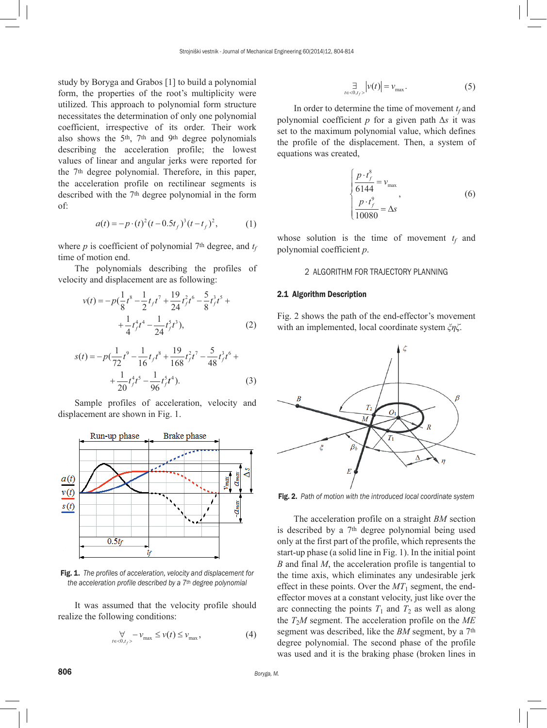study by Boryga and Grabos [1] to build a polynomial form, the properties of the root's multiplicity were utilized. This approach to polynomial form structure necessitates the determination of only one polynomial coefficient, irrespective of its order. Their work also shows the 5th, 7th and 9th degree polynomials describing the acceleration profile; the lowest values of linear and angular jerks were reported for the 7th degree polynomial. Therefore, in this paper, the acceleration profile on rectilinear segments is described with the 7th degree polynomial in the form of:

$$
a(t) = -p \cdot (t)^2 (t - 0.5t_f)^3 (t - t_f)^2, \tag{1}
$$

where  $p$  is coefficient of polynomial 7<sup>th</sup> degree, and  $t_f$ time of motion end.

The polynomials describing the profiles of velocity and displacement are as following:

$$
v(t) = -p\left(\frac{1}{8}t^8 - \frac{1}{2}t_f t^7 + \frac{19}{24}t_f^2 t^6 - \frac{5}{8}t_f^3 t^5 + \frac{1}{4}t_f^4 t^4 - \frac{1}{24}t_f^5 t^3\right),
$$
 (2)

$$
s(t) = -p\left(\frac{1}{72}t^9 - \frac{1}{16}t_f t^8 + \frac{19}{168}t_f^2 t^7 - \frac{5}{48}t_f^3 t^6 + \frac{1}{20}t_f^4 t^5 - \frac{1}{96}t_f^5 t^4\right).
$$
 (3)

Sample profiles of acceleration, velocity and displacement are shown in Fig. 1.



Fig. 1. *The profiles of acceleration, velocity and displacement for the acceleration profile described by a 7th degree polynomial*

It was assumed that the velocity profile should realize the following conditions:

$$
\forall \, \quad -\nu_{\max} \le \nu(t) \le \nu_{\max}, \tag{4}
$$

$$
\mathcal{F}_{t \in <0, t_f>} \left| \nu(t) \right| = \nu_{\text{max}}.\tag{5}
$$

In order to determine the time of movement  $t_f$  and polynomial coefficient *p* for a given path Δ*s* it was set to the maximum polynomial value, which defines the profile of the displacement. Then, a system of equations was created,

$$
\begin{cases}\n\frac{p \cdot t_f^8}{6144} = v_{\text{max}} \\
\frac{p \cdot t_f^9}{10080} = \Delta s\n\end{cases}
$$
\n(6)

whose solution is the time of movement  $t_f$  and polynomial coefficient *p*.

# 2 ALGORITHM FOR TRAJECTORY PLANNING

# 2.1 Algorithm Description

Fig. 2 shows the path of the end-effector's movement with an implemented, local coordinate system *ξηζ*.



Fig. 2. *Path of motion with the introduced local coordinate system*

The acceleration profile on a straight *BM* section is described by a 7th degree polynomial being used only at the first part of the profile, which represents the start-up phase (a solid line in Fig. 1). In the initial point *B* and final *M*, the acceleration profile is tangential to the time axis, which eliminates any undesirable jerk effect in these points. Over the  $MT_1$  segment, the endeffector moves at a constant velocity, just like over the arc connecting the points  $T_1$  and  $T_2$  as well as along the  $T_2M$  segment. The acceleration profile on the  $ME$ segment was described, like the *BM* segment, by a 7th degree polynomial. The second phase of the profile was used and it is the braking phase (broken lines in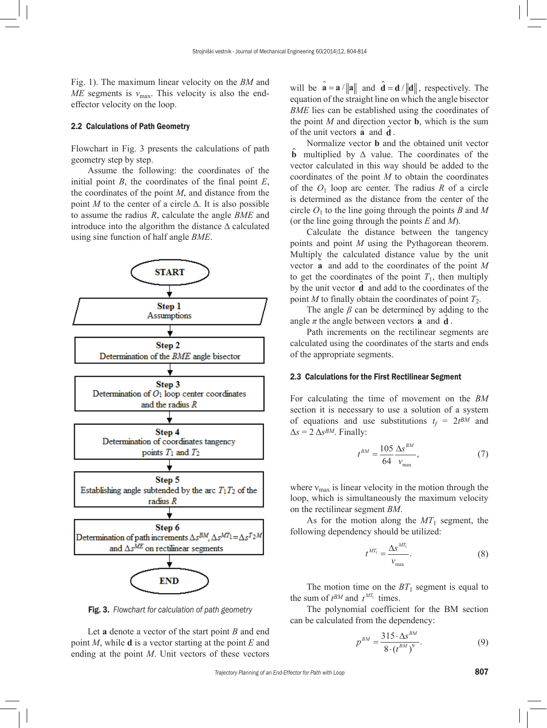Fig. 1). The maximum linear velocity on the *BM* and *ME* segments is  $v_{\text{max}}$ . This velocity is also the endeffector velocity on the loop.

# 2.2 Calculations of Path Geometry

Flowchart in Fig. 3 presents the calculations of path geometry step by step.

Assume the following: the coordinates of the initial point *B*, the coordinates of the final point *E*, the coordinates of the point *M*, and distance from the point *M* to the center of a circle  $\Delta$ . It is also possible to assume the radius *R*, calculate the angle *BME* and introduce into the algorithm the distance  $\Delta$  calculated using sine function of half angle *BME*.



Fig. 3. *Flowchart for calculation of path geometry*

Let **a** denote a vector of the start point *B* and end point *M*, while **d** is a vector starting at the point *E* and ending at the point *M*. Unit vectors of these vectors will be  $\mathbf{a} = \mathbf{a} / ||\mathbf{a}||$  and  $\mathbf{d} = \mathbf{d} / ||\mathbf{d}||$ , respectively. The equation of the straight line on which the angle bisector *BME* lies can be established using the coordinates of the point  $M$  and direction vector **b**, which is the sum of the unit vectors  $\hat{a}$  and  $\hat{d}$ .

Normalize vector **b** and the obtained unit vector **b** multiplied by Δ value. The coordinates of the vector calculated in this way should be added to the coordinates of the point *M* to obtain the coordinates of the  $O_1$  loop arc center. The radius  $R$  of a circle is determined as the distance from the center of the circle  $O_1$  to the line going through the points *B* and *M* (or the line going through the points *E* and *M*).

Calculate the distance between the tangency points and point *M* using the Pythagorean theorem. Multiply the calculated distance value by the unit vector **a** and add to the coordinates of the point *M*  to get the coordinates of the point  $T_1$ , then multiply by the unit vector **d** and add to the coordinates of the point *M* to finally obtain the coordinates of point  $T_2$ .

The angle *β* can be determined by adding to the angle  $\pi$  the angle between vectors  $\hat{\mathbf{a}}$  and  $\hat{\mathbf{d}}$ .

Path increments on the rectilinear segments are calculated using the coordinates of the starts and ends of the appropriate segments.

# 2.3 Calculations for the First Rectilinear Segment

For calculating the time of movement on the *BM* section it is necessary to use a solution of a system of equations and use substitutions  $t_f = 2t^{BM}$  and  $\Delta s = 2 \Delta s^{BM}$ . Finally:

$$
t^{BM} = \frac{105}{64} \frac{\Delta s^{BM}}{v_{\text{max}}},
$$
 (7)

where  $v_{\text{max}}$  is linear velocity in the motion through the loop, which is simultaneously the maximum velocity on the rectilinear segment *BM*.

As for the motion along the  $MT_1$  segment, the following dependency should be utilized:

$$
t^{MT_1} = \frac{\Delta s^{MT_1}}{v_{\text{max}}}.
$$
 (8)

The motion time on the  $BT_1$  segment is equal to the sum of  $t^{BM}$  and  $t^{MT_1}$  times.

The polynomial coefficient for the BM section can be calculated from the dependency:

$$
p^{BM} = \frac{315 \cdot \Delta s^{BM}}{8 \cdot (t^{BM})^9}.
$$
 (9)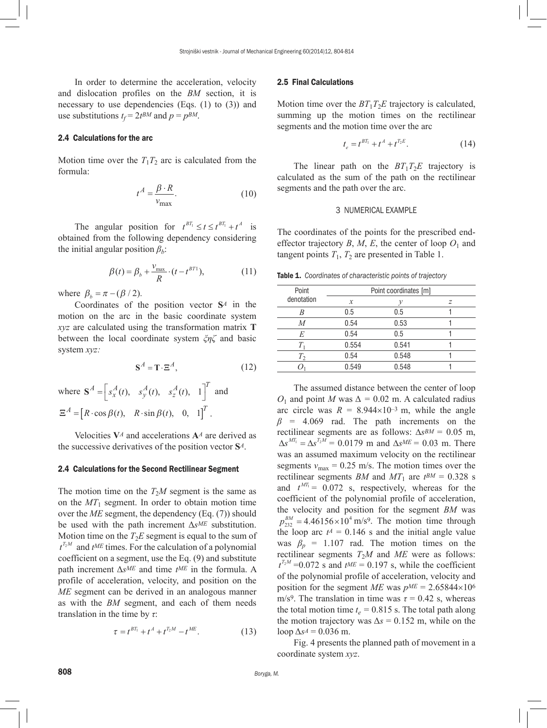In order to determine the acceleration, velocity and dislocation profiles on the *BM* section, it is necessary to use dependencies (Eqs. (1) to (3)) and use substitutions  $t_f = 2t^{BM}$  and  $p = p^{BM}$ .

# 2.4 Calculations for the arc

Motion time over the  $T_1T_2$  arc is calculated from the formula:

$$
t^A = \frac{\beta \cdot R}{v_{\text{max}}}.\tag{10}
$$

The angular position for  $t^{BT_1} \le t \le t^{BT_1} + t^A$  is obtained from the following dependency considering the initial angular position *βb*:

$$
\beta(t) = \beta_b + \frac{v_{\text{max}}}{R} \cdot (t - t^{BT1}),\tag{11}
$$

where  $\beta_b = \pi - (\beta / 2)$ .

Coordinates of the position vector **S***A* in the motion on the arc in the basic coordinate system *xyz* are calculated using the transformation matrix **T** between the local coordinate system *ξηζ* and basic system *xyz:*

$$
\mathbf{S}^A = \mathbf{T} \cdot \mathbf{\Xi}^A,\tag{12}
$$

where 
$$
\mathbf{S}^A = \begin{bmatrix} s_x^A(t), & s_y^A(t), & s_z^A(t), & 1 \end{bmatrix}^T
$$
 and  
\n $\Xi^A = \begin{bmatrix} R \cdot \cos \beta(t), & R \cdot \sin \beta(t), & 0, & 1 \end{bmatrix}^T$ .

Velocities **V***A* and accelerations **A***A* are derived as the successive derivatives of the position vector **S***A*.

## 2.4 Calculations for the Second Rectilinear Segment

The motion time on the  $T_2M$  segment is the same as on the *MT*1 segment. In order to obtain motion time over the *ME* segment, the dependency (Eq. (7)) should be used with the path increment Δ*sME* substitution. Motion time on the  $T_2E$  segment is equal to the sum of  $t^{T_2M}$  and  $t^{ME}$  times. For the calculation of a polynomial coefficient on a segment, use the Eq. (9) and substitute path increment Δ*sME* and time *tME* in the formula. A profile of acceleration, velocity, and position on the *ME* segment can be derived in an analogous manner as with the *BM* segment, and each of them needs translation in the time by *τ*:

$$
\tau = t^{BT_1} + t^A + t^{T_2M} - t^{ME}.\tag{13}
$$

#### 2.5 Final Calculations

Motion time over the  $BT_1T_2E$  trajectory is calculated, summing up the motion times on the rectilinear segments and the motion time over the arc

$$
t_e = t^{BT_1} + t^A + t^{T_2E}.
$$
 (14)

The linear path on the  $BT_1T_2E$  trajectory is calculated as the sum of the path on the rectilinear segments and the path over the arc.

#### 3 NUMERICAL EXAMPLE

The coordinates of the points for the prescribed endeffector trajectory *B*, *M*, *E*, the center of loop  $O_1$  and tangent points  $T_1$ ,  $T_2$  are presented in Table 1.

Table 1. *Coordinates of characteristic points of trajectory*

| Point          | Point coordinates [m] |       |   |
|----------------|-----------------------|-------|---|
| denotation     | $\mathcal{X}$         | ν     | z |
|                | 0.5                   | 0.5   |   |
| $\overline{M}$ | 0.54                  | 0.53  |   |
| E              | 0.54                  | 0.5   |   |
|                | 0.554                 | 0.541 |   |
| $T_{2}$        | 0.54                  | 0.548 |   |
|                | 0.549                 | 0.548 |   |
|                |                       |       |   |

The assumed distance between the center of loop *O*<sub>1</sub> and point *M* was  $\Delta = 0.02$  m. A calculated radius arc circle was  $R = 8.944 \times 10^{-3}$  m, while the angle *β* = 4.069 rad. The path increments on the rectilinear segments are as follows: ∆*sBM =* 0.05 m,  $\Delta s^{MT_1} = \Delta s^{T_2M} = 0.0179$  m and  $\Delta s^{ME} = 0.03$  m. There was an assumed maximum velocity on the rectilinear segments  $v_{\text{max}} = 0.25$  m/s. The motion times over the rectilinear segments *BM* and  $MT_1$  are  $t^{BM} = 0.328$  s and  $t^{MT_1} = 0.072$  s, respectively, whereas for the coefficient of the polynomial profile of acceleration, the velocity and position for the segment *BM* was  $p_{232}^{BM} = 4.46156 \times 10^4 \text{ m/s}^9$ . The motion time through the loop arc  $t^A = 0.146$  s and the initial angle value was  $\beta_p = 1.107$  rad. The motion times on the rectilinear segments  $T_2M$  and  $ME$  were as follows:  $t^{T_2M}$  =0.072 s and  $t^{ME}$  = 0.197 s, while the coefficient of the polynomial profile of acceleration, velocity and position for the segment *ME* was  $p^{ME} = 2.65844 \times 10^6$ m/s<sup>9</sup>. The translation in time was  $\tau = 0.42$  s, whereas the total motion time  $t_e$  = 0.815 s. The total path along the motion trajectory was  $\Delta s = 0.152$  m, while on the loop  $\Delta s^A = 0.036$  m.

Fig. 4 presents the planned path of movement in a coordinate system *xyz*.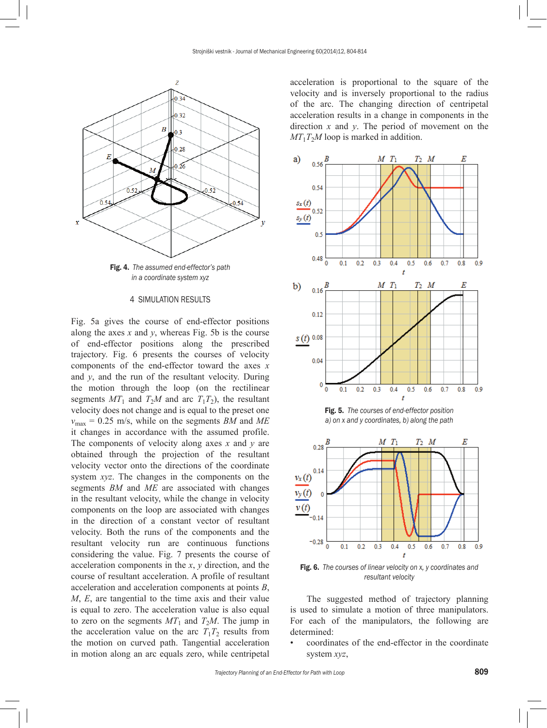

*in a coordinate system xyz*

# 4 SIMULATION RESULTS

Fig. 5a gives the course of end-effector positions along the axes  $x$  and  $y$ , whereas Fig. 5b is the course of end-effector positions along the prescribed trajectory. Fig. 6 presents the courses of velocity components of the end-effector toward the axes *x* and *y*, and the run of the resultant velocity. During the motion through the loop (on the rectilinear segments  $MT_1$  and  $T_2M$  and arc  $T_1T_2$ ), the resultant velocity does not change and is equal to the preset one  $v_{\text{max}} = 0.25$  m/s, while on the segments *BM* and *ME* it changes in accordance with the assumed profile. The components of velocity along axes *x* and *y* are obtained through the projection of the resultant velocity vector onto the directions of the coordinate system *xyz*. The changes in the components on the segments *BM* and *ME* are associated with changes in the resultant velocity, while the change in velocity components on the loop are associated with changes in the direction of a constant vector of resultant velocity. Both the runs of the components and the resultant velocity run are continuous functions considering the value. Fig. 7 presents the course of acceleration components in the *x*, *y* direction, and the course of resultant acceleration. A profile of resultant acceleration and acceleration components at points *B*, *M*, *E*, are tangential to the time axis and their value is equal to zero. The acceleration value is also equal to zero on the segments  $MT_1$  and  $T_2M$ . The jump in the acceleration value on the arc  $T_1T_2$  results from the motion on curved path. Tangential acceleration in motion along an arc equals zero, while centripetal acceleration is proportional to the square of the velocity and is inversely proportional to the radius of the arc. The changing direction of centripetal acceleration results in a change in components in the direction *x* and *y*. The period of movement on the  $MT_1T_2M$  loop is marked in addition.



Fig. 5. *The courses of end-effector position a) on x and y coordinates, b) along the path*



Fig. 6. *The courses of linear velocity on x, y coordinates and resultant velocity*

The suggested method of trajectory planning is used to simulate a motion of three manipulators. For each of the manipulators, the following are determined:

• coordinates of the end-effector in the coordinate system *xyz*,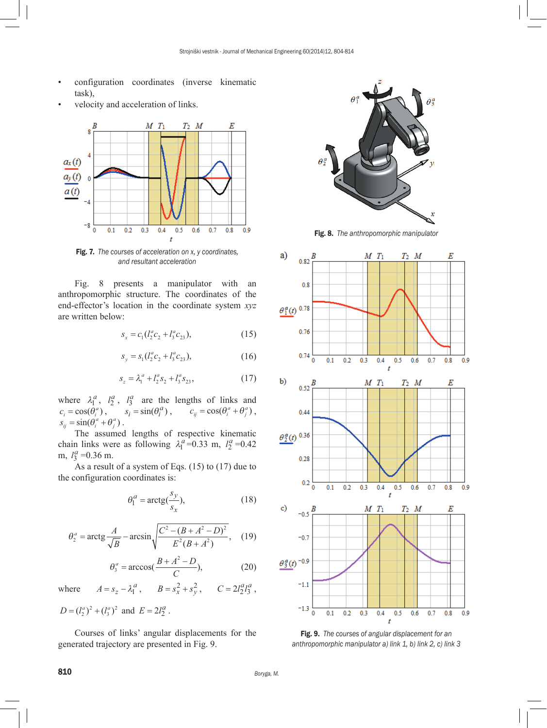- configuration coordinates (inverse kinematic task),
- velocity and acceleration of links.



Fig. 7. *The courses of acceleration on x, y coordinates, and resultant acceleration*

Fig. 8 presents a manipulator with an anthropomorphic structure. The coordinates of the end-effector's location in the coordinate system *xyz* are written below:

$$
s_x = c_1 (l_2^a c_2 + l_3^a c_{23}), \tag{15}
$$

$$
s_y = s_1(l_2^a c_2 + l_3^a c_{23}), \tag{16}
$$

$$
s_z = \lambda_1^a + l_2^a s_2 + l_3^a s_{23}, \qquad (17)
$$

where  $\lambda_1^a$ ,  $l_2^a$ ,  $l_3^a$  are the lengths of links and  $c_i = \cos(\theta_i^a)$ ,  $s_i = \sin(\theta_i^a)$ ,  $c_{ij} = \cos(\theta_i^a + \theta_j^a)$ ,  $s_{ij} = \sin(\theta_i^a + \theta_j^a)$ .

The assumed lengths of respective kinematic chain links were as following  $\lambda_1^a = 0.33$  m,  $l_2^a = 0.42$ m,  $l_3^a = 0.36$  m.

As a result of a system of Eqs. (15) to (17) due to the configuration coordinates is:

$$
\theta_1^a = \arctg(\frac{s_y}{s_x}),\tag{18}
$$

$$
\theta_2^a = \arctg \frac{A}{\sqrt{B}} - \arcsin \sqrt{\frac{C^2 - (B + A^2 - D)^2}{E^2 (B + A^2)}}, \quad (19)
$$

$$
\theta_3^a = \arccos(\frac{B + A^2 - D}{C}),\tag{20}
$$

where  $A = s_z - \lambda_1^a$ ,  $B = s_x^2 + s_y^2$ ,  $C = 2l_2^a l_3^a$ ,

$$
D = (l_2^a)^2 + (l_3^a)^2
$$
 and  $E = 2l_2^a$ .

Courses of links' angular displacements for the generated trajectory are presented in Fig. 9.



Fig. 8. *The anthropomorphic manipulator*



Fig. 9. *The courses of angular displacement for an anthropomorphic manipulator a) link 1, b) link 2, c) link 3*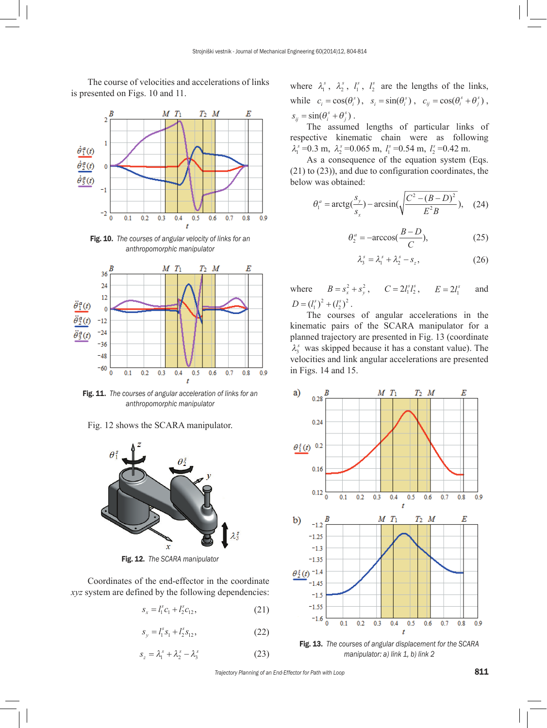The course of velocities and accelerations of links is presented on Figs. 10 and 11.



Fig. 10. *The courses of angular velocity of links for an anthropomorphic manipulator*



Fig. 11. *The courses of angular acceleration of links for an anthropomorphic manipulator*





Fig. 12. *The SCARA manipulator*

Coordinates of the end-effector in the coordinate *xyz* system are defined by the following dependencies:

$$
s_x = l_1^s c_1 + l_2^s c_{12}, \tag{21}
$$

$$
s_y = l_1^s s_1 + l_2^s s_{12}, \tag{22}
$$

$$
s_z = \lambda_1^s + \lambda_2^s - \lambda_3^s \tag{23}
$$

where  $\lambda_1^s$ ,  $\lambda_2^s$ ,  $l_1^s$ ,  $l_2^s$  are the lengths of the links, while  $c_i = \cos(\theta_i^s)$ ,  $s_i = \sin(\theta_i^s)$ ,  $c_{ij} = \cos(\theta_i^s + \theta_j^s)$ ,  $s_{ij} = \sin(\theta_i^s + \theta_j^s)$ .

The assumed lengths of particular links of respective kinematic chain were as following  $\lambda_1^s = 0.3$  m,  $\lambda_2^s = 0.065$  m,  $l_1^s = 0.54$  m,  $l_2^s = 0.42$  m.

As a consequence of the equation system (Eqs. (21) to (23)), and due to configuration coordinates, the below was obtained:

$$
\theta_1^a = \arctg(\frac{s_y}{s_x}) - \arcsin(\sqrt{\frac{C^2 - (B - D)^2}{E^2 B}}), \quad (24)
$$

$$
\theta_2^a = -\arccos(\frac{B-D}{C}),\tag{25}
$$

$$
\lambda_3^s = \lambda_1^s + \lambda_2^s - s_z, \qquad (26)
$$

where  $B = s_x^2 + s_y^2$ ,  $C = 2l_1^s l_2^s$ ,  $E = 2l_1^s$  and  $D = (l_1^s)^2 + (l_2^s)^2$ .

The courses of angular accelerations in the kinematic pairs of the SCARA manipulator for a planned trajectory are presented in Fig. 13 (coordinate  $\lambda_3^s$  was skipped because it has a constant value). The velocities and link angular accelerations are presented in Figs. 14 and 15.



*manipulator: a) link 1, b) link 2*

*Trajectory Planning of an End-Effector for Path with Loop* 811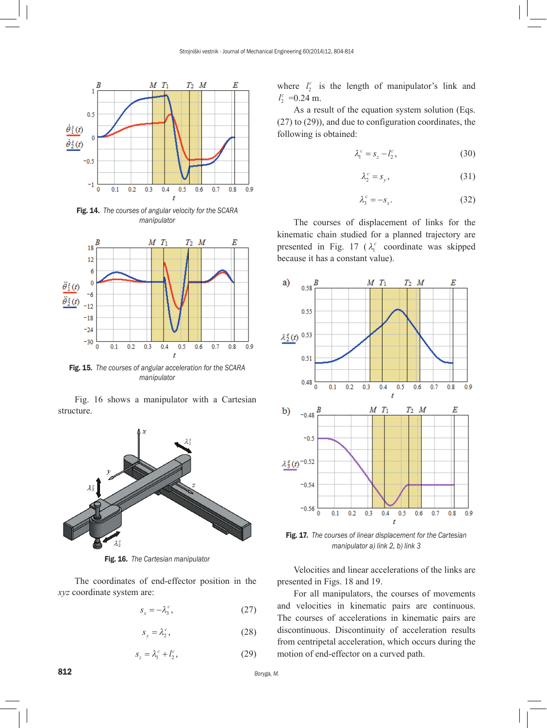

Fig. 14. *The courses of angular velocity for the SCARA manipulator* 



Fig. 15. *The courses of angular acceleration for the SCARA manipulator*

Fig. 16 shows a manipulator with a Cartesian structure.



Fig. 16. *The Cartesian manipulator*

The coordinates of end-effector position in the *xyz* coordinate system are:

$$
s_x = -\lambda_3^c,\tag{27}
$$

$$
s_y = \lambda_2^c,\tag{28}
$$

$$
s_z = \lambda_1^c + l_2^c,\tag{29}
$$

where  $l_2^c$  is the length of manipulator's link and  $l_2^c$  =0.24 m.

As a result of the equation system solution (Eqs. (27) to (29)), and due to configuration coordinates, the following is obtained:

$$
\lambda_1^c = s_z - l_2^c,\tag{30}
$$

$$
\lambda_2^c = s_y,\tag{31}
$$

$$
\lambda_3^c = -s_x. \tag{32}
$$

The courses of displacement of links for the kinematic chain studied for a planned trajectory are presented in Fig. 17 ( $\lambda_1^c$  coordinate was skipped because it has a constant value).



Fig. 17. *The courses of linear displacement for the Cartesian manipulator a) link 2, b) link 3*

Velocities and linear accelerations of the links are presented in Figs. 18 and 19.

For all manipulators, the courses of movements and velocities in kinematic pairs are continuous. The courses of accelerations in kinematic pairs are discontinuous. Discontinuity of acceleration results from centripetal acceleration, which occurs during the motion of end-effector on a curved path.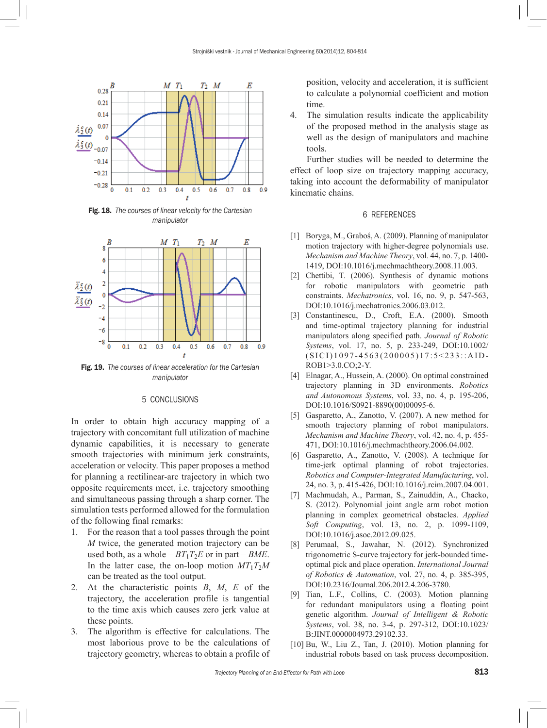

Fig. 18. *The courses of linear velocity for the Cartesian manipulator*



Fig. 19. *The courses of linear acceleration for the Cartesian manipulator*

# 5 CONCLUSIONS

In order to obtain high accuracy mapping of a trajectory with concomitant full utilization of machine dynamic capabilities, it is necessary to generate smooth trajectories with minimum jerk constraints, acceleration or velocity. This paper proposes a method for planning a rectilinear-arc trajectory in which two opposite requirements meet, i.e. trajectory smoothing and simultaneous passing through a sharp corner. The simulation tests performed allowed for the formulation of the following final remarks:

- 1. For the reason that a tool passes through the point *M* twice, the generated motion trajectory can be used both, as a whole  $-BT_1T_2E$  or in part  $-BME$ . In the latter case, the on-loop motion  $MT_1T_2M$ can be treated as the tool output.
- 2. At the characteristic points *B*, *M*, *E* of the trajectory, the acceleration profile is tangential to the time axis which causes zero jerk value at these points.
- 3. The algorithm is effective for calculations. The most laborious prove to be the calculations of trajectory geometry, whereas to obtain a profile of

position, velocity and acceleration, it is sufficient to calculate a polynomial coefficient and motion time.

4. The simulation results indicate the applicability of the proposed method in the analysis stage as well as the design of manipulators and machine tools.

Further studies will be needed to determine the effect of loop size on trajectory mapping accuracy, taking into account the deformability of manipulator kinematic chains.

## 6 REFERENCES

- [1] Boryga, M., Graboś, A. (2009). Planning of manipulator motion trajectory with higher-degree polynomials use. *Mechanism and Machine Theory*, vol. 44, no. 7, p. 1400- 1419, [DOI:10.1016/j.mechmachtheory.2008.11.003](http://dx.doi.org/10.1016/j.mechmachtheory.2008.11.003).
- [2] Chettibi, T. (2006). Synthesis of dynamic motions for robotic manipulators with geometric path constraints. *Mechatronics*, vol. 16, no. 9, p. 547-563, [DOI:10.1016/j.mechatronics.2006.03.012](http://dx.doi.org/10.1016/j.mechatronics.2006.03.012).
- [3] Constantinescu, D., Croft, E.A. (2000). Smooth and time-optimal trajectory planning for industrial manipulators along specified path. *Journal of Robotic Systems*, vol. 17, no. 5, p. 233-249, [DOI:10.1002/](http://dx.doi.org/10.1002/(SICI)1097-4563(200005)17:5<233::AID-ROB1>3.0.CO;2-Y) [\(SICI\)1097-4563\(200005\)17:5<233::AID-](http://dx.doi.org/10.1002/(SICI)1097-4563(200005)17:5<233::AID-ROB1>3.0.CO;2-Y)[ROB1>3.0.CO;2-Y.](http://dx.doi.org/10.1002/(SICI)1097-4563(200005)17:5<233::AID-ROB1>3.0.CO;2-Y)
- [4] Elnagar, A., Hussein, A. (2000). On optimal constrained trajectory planning in 3D environments. *Robotics and Autonomous Systems*, vol. 33, no. 4, p. 195-206, [DOI:10.1016/S0921-8890\(00\)00095-6.](http://dx.doi.org/10.1016/S0921-8890(00)00095-6)
- [5] Gasparetto, A., Zanotto, V. (2007). A new method for smooth trajectory planning of robot manipulators. *Mechanism and Machine Theory*, vol. 42, no. 4, p. 455- 471, [DOI:10.1016/j.mechmachtheory.2006.04.002.](http://dx.doi.org/10.1016/j.mechmachtheory.2006.04.002)
- [6] Gasparetto, A., Zanotto, V. (2008). A technique for time-jerk optimal planning of robot trajectories. *Robotics and Computer-Integrated Manufacturing*, vol. 24, no. 3, p. 415-426, [DOI:10.1016/j.rcim.2007.04.001.](http://dx.doi.org/10.1016/j.rcim.2007.04.001)
- [7] Machmudah, A., Parman, S., Zainuddin, A., Chacko, S. (2012). Polynomial joint angle arm robot motion planning in complex geometrical obstacles. *Applied Soft Computing*, vol. 13, no. 2, p. 1099-1109, [DOI:10.1016/j.asoc.2012.09.025.](http://dx.doi.org/10.1016/j.asoc.2012.09.025)
- [8] Perumaal, S., Jawahar, N. (2012). Synchronized trigonometric S-curve trajectory for jerk-bounded timeoptimal pick and place operation. *International Journal of Robotics & Automation*, vol. 27, no. 4, p. 385-395, [DOI:10.2316/Journal.206.2012.4.206-3780.](http://dx.doi.org/10.2316/Journal.206.2012.4.206-3780)
- [9] Tian, L.F., Collins, C. (2003). Motion planning for redundant manipulators using a floating point genetic algorithm. *Journal of Intelligent & Robotic Systems*, vol. 38, no. 3-4, p. 297-312, [DOI:10.1023/](http://dx.doi.org/10.1023/B:JINT.0000004973.29102.33) [B:JINT.0000004973.29102.33.](http://dx.doi.org/10.1023/B:JINT.0000004973.29102.33)
- [10] Bu, W., Liu Z., Tan, J. (2010). Motion planning for industrial robots based on task process decomposition.